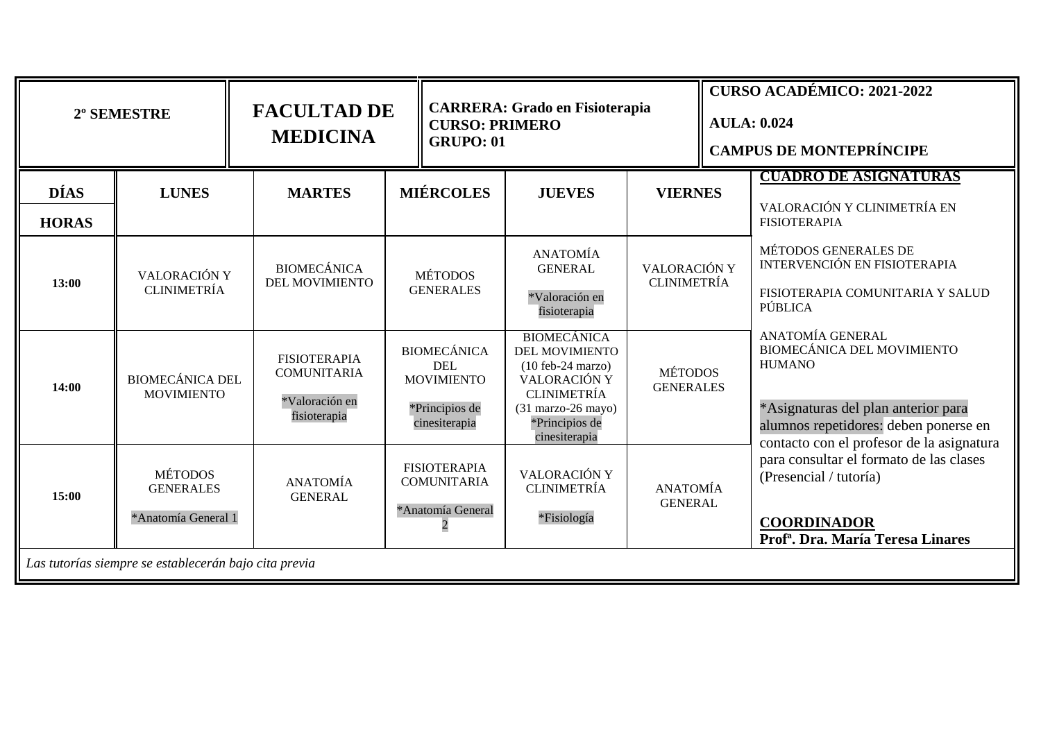|                             | 2º SEMESTRE                                               | <b>FACULTAD DE</b><br><b>MEDICINA</b>                                       | <b>CURSO: PRIMERO</b><br><b>GRUPO: 01</b> |                                                                                          | <b>CARRERA: Grado en Fisioterapia</b>                                                                                                                                               |                                    | <b>CURSO ACADÉMICO: 2021-2022</b><br><b>AULA: 0.024</b><br><b>CAMPUS DE MONTEPRÍNCIPE</b> |                                                                                                                                                                                       |
|-----------------------------|-----------------------------------------------------------|-----------------------------------------------------------------------------|-------------------------------------------|------------------------------------------------------------------------------------------|-------------------------------------------------------------------------------------------------------------------------------------------------------------------------------------|------------------------------------|-------------------------------------------------------------------------------------------|---------------------------------------------------------------------------------------------------------------------------------------------------------------------------------------|
| <b>DÍAS</b><br><b>HORAS</b> | <b>LUNES</b>                                              | <b>MARTES</b>                                                               |                                           | <b>MIÉRCOLES</b>                                                                         | <b>JUEVES</b>                                                                                                                                                                       | <b>VIERNES</b>                     |                                                                                           | <b>CUADRO DE ASIGNATURAS</b><br>VALORACIÓN Y CLINIMETRÍA EN<br><b>FISIOTERAPIA</b>                                                                                                    |
| 13:00                       | VALORACIÓN Y<br><b>CLINIMETRÍA</b>                        | <b>BIOMECÁNICA</b><br><b>DEL MOVIMIENTO</b>                                 |                                           | <b>MÉTODOS</b><br><b>GENERALES</b>                                                       | <b>ANATOMÍA</b><br><b>GENERAL</b><br>*Valoración en<br>fisioterapia                                                                                                                 | VALORACIÓN Y<br><b>CLINIMETRÍA</b> |                                                                                           | MÉTODOS GENERALES DE<br>INTERVENCIÓN EN FISIOTERAPIA<br>FISIOTERAPIA COMUNITARIA Y SALUD<br>PÚBLICA                                                                                   |
| 14:00                       | <b>BIOMECÁNICA DEL</b><br><b>MOVIMIENTO</b>               | <b>FISIOTERAPIA</b><br><b>COMUNITARIA</b><br>*Valoración en<br>fisioterapia |                                           | <b>BIOMECÁNICA</b><br><b>DEL</b><br><b>MOVIMIENTO</b><br>*Principios de<br>cinesiterapia | <b>BIOMECÁNICA</b><br><b>DEL MOVIMIENTO</b><br>$(10 \text{ feb-24} \text{ marzo})$<br>VALORACIÓN Y<br><b>CLINIMETRÍA</b><br>$(31$ marzo-26 mayo)<br>*Principios de<br>cinesiterapia | <b>MÉTODOS</b><br><b>GENERALES</b> |                                                                                           | ANATOMÍA GENERAL<br>BIOMECÁNICA DEL MOVIMIENTO<br><b>HUMANO</b><br>*Asignaturas del plan anterior para<br>alumnos repetidores: deben ponerse en                                       |
| 15:00                       | <b>MÉTODOS</b><br><b>GENERALES</b><br>*Anatomía General 1 | <b>ANATOMÍA</b><br><b>GENERAL</b>                                           |                                           | <b>FISIOTERAPIA</b><br><b>COMUNITARIA</b><br>*Anatomía General                           | VALORACIÓN Y<br><b>CLINIMETRÍA</b><br>*Fisiología                                                                                                                                   | <b>ANATOMÍA</b><br><b>GENERAL</b>  |                                                                                           | contacto con el profesor de la asignatura<br>para consultar el formato de las clases<br>(Presencial / tutoría)<br><b>COORDINADOR</b><br>Prof <sup>a</sup> . Dra. María Teresa Linares |
|                             | Las tutorías siempre se establecerán bajo cita previa     |                                                                             |                                           |                                                                                          |                                                                                                                                                                                     |                                    |                                                                                           |                                                                                                                                                                                       |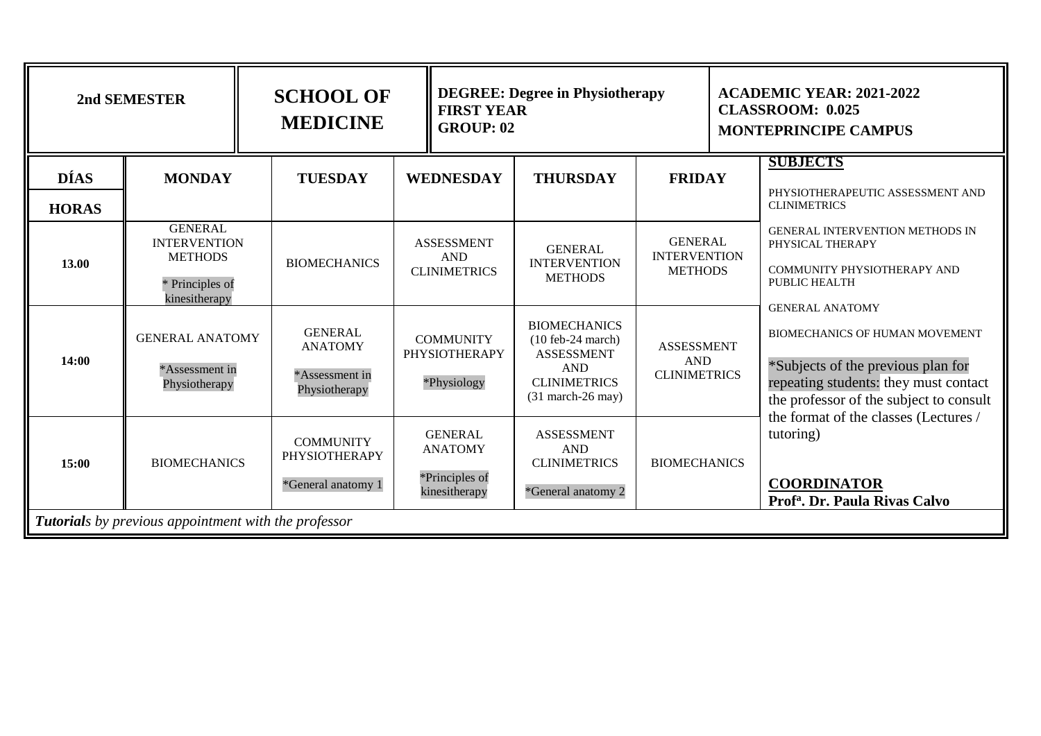| 2nd SEMESTER                |                                                                                             | <b>SCHOOL OF</b><br><b>MEDICINE</b>                                 | <b>DEGREE: Degree in Physiotherapy</b><br><b>FIRST YEAR</b><br><b>GROUP: 02</b> |                                                                                                                                     |                                                         | <b>ACADEMIC YEAR: 2021-2022</b><br><b>CLASSROOM: 0.025</b><br><b>MONTEPRINCIPE CAMPUS</b> |                                                                                                                                                                                                          |
|-----------------------------|---------------------------------------------------------------------------------------------|---------------------------------------------------------------------|---------------------------------------------------------------------------------|-------------------------------------------------------------------------------------------------------------------------------------|---------------------------------------------------------|-------------------------------------------------------------------------------------------|----------------------------------------------------------------------------------------------------------------------------------------------------------------------------------------------------------|
| <b>DÍAS</b><br><b>HORAS</b> | <b>MONDAY</b>                                                                               | <b>TUESDAY</b>                                                      | <b>WEDNESDAY</b>                                                                | <b>THURSDAY</b>                                                                                                                     | <b>FRIDAY</b>                                           |                                                                                           | <b>SUBJECTS</b><br>PHYSIOTHERAPEUTIC ASSESSMENT AND<br><b>CLINIMETRICS</b>                                                                                                                               |
| 13.00                       | <b>GENERAL</b><br><b>INTERVENTION</b><br><b>METHODS</b><br>* Principles of<br>kinesitherapy | <b>BIOMECHANICS</b>                                                 | <b>ASSESSMENT</b><br><b>AND</b><br><b>CLINIMETRICS</b>                          | <b>GENERAL</b><br><b>INTERVENTION</b><br><b>METHODS</b>                                                                             | <b>GENERAL</b><br><b>INTERVENTION</b><br><b>METHODS</b> |                                                                                           | <b>GENERAL INTERVENTION METHODS IN</b><br>PHYSICAL THERAPY<br>COMMUNITY PHYSIOTHERAPY AND<br>PUBLIC HEALTH<br><b>GENERAL ANATOMY</b>                                                                     |
| 14:00                       | <b>GENERAL ANATOMY</b><br>*Assessment in<br>Physiotherapy                                   | <b>GENERAL</b><br><b>ANATOMY</b><br>*Assessment in<br>Physiotherapy | <b>COMMUNITY</b><br><b>PHYSIOTHERAPY</b><br>*Physiology                         | <b>BIOMECHANICS</b><br>$(10 \text{ feb-24 march})$<br><b>ASSESSMENT</b><br><b>AND</b><br><b>CLINIMETRICS</b><br>$(31$ march-26 may) | <b>ASSESSMENT</b><br><b>AND</b><br><b>CLINIMETRICS</b>  |                                                                                           | <b>BIOMECHANICS OF HUMAN MOVEMENT</b><br>*Subjects of the previous plan for<br>repeating students: they must contact<br>the professor of the subject to consult<br>the format of the classes (Lectures / |
| 15:00                       | <b>BIOMECHANICS</b>                                                                         | <b>COMMUNITY</b><br><b>PHYSIOTHERAPY</b><br>*General anatomy 1      | <b>GENERAL</b><br><b>ANATOMY</b><br>*Principles of<br>kinesitherapy             | <b>ASSESSMENT</b><br><b>AND</b><br><b>CLINIMETRICS</b><br>*General anatomy 2                                                        | <b>BIOMECHANICS</b>                                     |                                                                                           | tutoring)<br><b>COORDINATOR</b><br>Prof <sup>a</sup> . Dr. Paula Rivas Calvo                                                                                                                             |
|                             | <b>Tutorials</b> by previous appointment with the professor                                 |                                                                     |                                                                                 |                                                                                                                                     |                                                         |                                                                                           |                                                                                                                                                                                                          |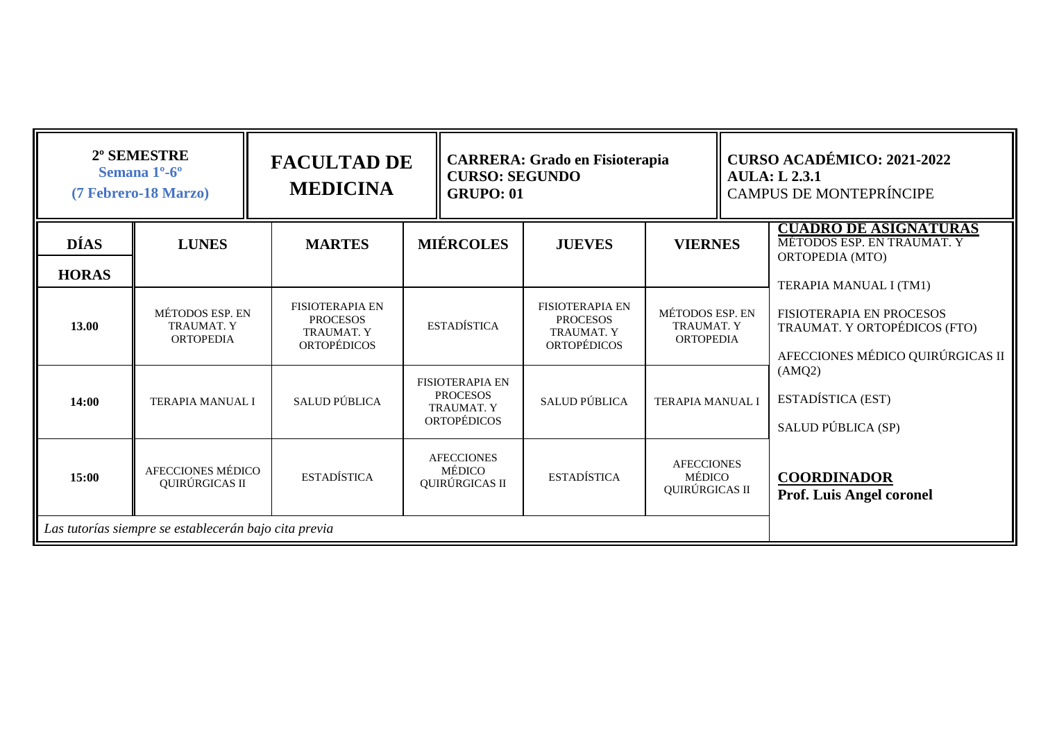|                             | 2º SEMESTRE<br><b>CARRERA: Grado en Fisioterapia</b><br><b>FACULTAD DE</b><br>Semana 1 <sup>o</sup> -6 <sup>o</sup><br><b>CURSO: SEGUNDO</b><br><b>MEDICINA</b><br>(7 Febrero-18 Marzo)<br><b>GRUPO: 01</b> |                                                                                      | <b>CURSO ACADÉMICO: 2021-2022</b><br><b>AULA: L 2.3.1</b><br><b>CAMPUS DE MONTEPRÍNCIPE</b> |                                                                                      |                                                          |                                                                                                         |
|-----------------------------|-------------------------------------------------------------------------------------------------------------------------------------------------------------------------------------------------------------|--------------------------------------------------------------------------------------|---------------------------------------------------------------------------------------------|--------------------------------------------------------------------------------------|----------------------------------------------------------|---------------------------------------------------------------------------------------------------------|
| <b>DÍAS</b><br><b>HORAS</b> | <b>LUNES</b>                                                                                                                                                                                                | <b>MARTES</b>                                                                        | <b>MIÉRCOLES</b>                                                                            | <b>JUEVES</b>                                                                        | <b>VIERNES</b>                                           | <b>CUADRO DE ASIGNATURAS</b><br>MÉTODOS ESP. EN TRAUMAT. Y<br>ORTOPEDIA (MTO)<br>TERAPIA MANUAL I (TM1) |
| 13.00                       | MÉTODOS ESP. EN<br><b>TRAUMAT. Y</b><br><b>ORTOPEDIA</b>                                                                                                                                                    | <b>FISIOTERAPIA EN</b><br><b>PROCESOS</b><br><b>TRAUMAT. Y</b><br><b>ORTOPÉDICOS</b> | <b>ESTADÍSTICA</b>                                                                          | <b>FISIOTERAPIA EN</b><br><b>PROCESOS</b><br><b>TRAUMAT. Y</b><br><b>ORTOPÉDICOS</b> | MÉTODOS ESP. EN<br><b>TRAUMAT. Y</b><br><b>ORTOPEDIA</b> | FISIOTERAPIA EN PROCESOS<br>TRAUMAT. Y ORTOPÉDICOS (FTO)<br>AFECCIONES MÉDICO QUIRÚRGICAS II            |
| 14:00                       | <b>TERAPIA MANUAL I</b>                                                                                                                                                                                     | SALUD PÚBLICA                                                                        | <b>FISIOTERAPIA EN</b><br><b>PROCESOS</b><br><b>TRAUMAT. Y</b><br><b>ORTOPÉDICOS</b>        | <b>SALUD PÚBLICA</b>                                                                 | <b>TERAPIA MANUAL I</b>                                  | (AMQ2)<br>ESTADÍSTICA (EST)<br>SALUD PÚBLICA (SP)                                                       |
| 15:00                       | AFECCIONES MÉDICO<br>QUIRÚRGICAS II                                                                                                                                                                         | <b>ESTADÍSTICA</b>                                                                   | <b>AFECCIONES</b><br>MÉDICO<br>QUIRÚRGICAS II                                               | <b>ESTADÍSTICA</b>                                                                   | <b>AFECCIONES</b><br>MÉDICO<br>QUIRÚRGICAS II            | <b>COORDINADOR</b><br><b>Prof. Luis Angel coronel</b>                                                   |
|                             | Las tutorías siempre se establecerán bajo cita previa                                                                                                                                                       |                                                                                      |                                                                                             |                                                                                      |                                                          |                                                                                                         |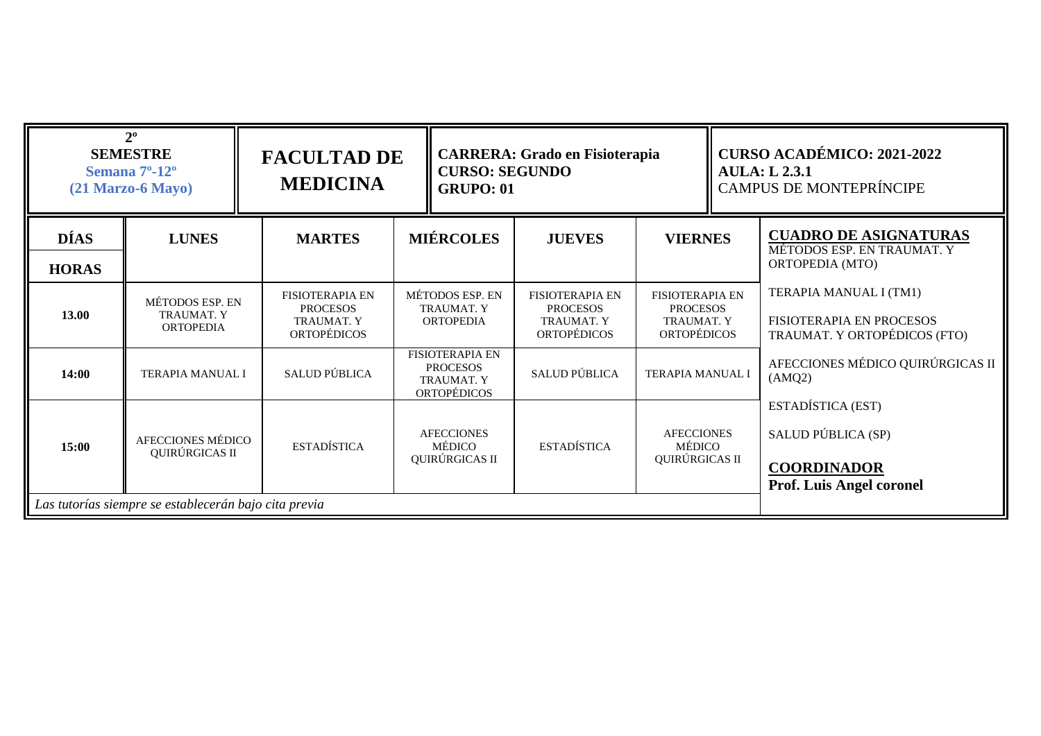| $2^{\circ}$<br><b>SEMESTRE</b><br>Semana 7 <sup>o</sup> -12 <sup>o</sup><br>$(21$ Marzo-6 Mayo) |                                                          | <b>FACULTAD DE</b><br><b>MEDICINA</b>                                                | <b>CURSO: SEGUNDO</b><br><b>GRUPO: 01</b>                                            | <b>CARRERA: Grado en Fisioterapia</b>                                                |                                                                                      | <b>CURSO ACADÉMICO: 2021-2022</b><br><b>AULA: L 2.3.1</b><br><b>CAMPUS DE MONTEPRÍNCIPE</b>      |  |
|-------------------------------------------------------------------------------------------------|----------------------------------------------------------|--------------------------------------------------------------------------------------|--------------------------------------------------------------------------------------|--------------------------------------------------------------------------------------|--------------------------------------------------------------------------------------|--------------------------------------------------------------------------------------------------|--|
| <b>DÍAS</b><br><b>HORAS</b>                                                                     | <b>LUNES</b>                                             | <b>MARTES</b>                                                                        | <b>MIÉRCOLES</b>                                                                     | <b>JUEVES</b>                                                                        | <b>VIERNES</b>                                                                       | <b>CUADRO DE ASIGNATURAS</b><br>MÉTODOS ESP. EN TRAUMAT. Y<br>ORTOPEDIA (MTO)                    |  |
| 13.00                                                                                           | MÉTODOS ESP. EN<br><b>TRAUMAT. Y</b><br><b>ORTOPEDIA</b> | <b>FISIOTERAPIA EN</b><br><b>PROCESOS</b><br><b>TRAUMAT. Y</b><br><b>ORTOPÉDICOS</b> | MÉTODOS ESP. EN<br><b>TRAUMAT. Y</b><br><b>ORTOPEDIA</b>                             | <b>FISIOTERAPIA EN</b><br><b>PROCESOS</b><br><b>TRAUMAT. Y</b><br><b>ORTOPÉDICOS</b> | <b>FISIOTERAPIA EN</b><br><b>PROCESOS</b><br><b>TRAUMAT. Y</b><br><b>ORTOPÉDICOS</b> | TERAPIA MANUAL I (TM1)<br>FISIOTERAPIA EN PROCESOS<br>TRAUMAT. Y ORTOPÉDICOS (FTO)               |  |
| 14:00                                                                                           | <b>TERAPIA MANUAL I</b>                                  | SALUD PÚBLICA                                                                        | <b>FISIOTERAPIA EN</b><br><b>PROCESOS</b><br><b>TRAUMAT. Y</b><br><b>ORTOPÉDICOS</b> | SALUD PÚBLICA                                                                        | <b>TERAPIA MANUAL I</b>                                                              | AFECCIONES MÉDICO QUIRÚRGICAS II<br>(AMQ2)                                                       |  |
| 15:00                                                                                           | AFECCIONES MÉDICO<br>QUIRÚRGICAS II                      | <b>ESTADÍSTICA</b>                                                                   | <b>AFECCIONES</b><br><b>MÉDICO</b><br>QUIRÚRGICAS II                                 | <b>ESTADÍSTICA</b>                                                                   | <b>AFECCIONES</b><br>MÉDICO<br>QUIRÚRGICAS II                                        | ESTADÍSTICA (EST)<br>SALUD PÚBLICA (SP)<br><b>COORDINADOR</b><br><b>Prof. Luis Angel coronel</b> |  |
|                                                                                                 | Las tutorías siempre se establecerán bajo cita previa    |                                                                                      |                                                                                      |                                                                                      |                                                                                      |                                                                                                  |  |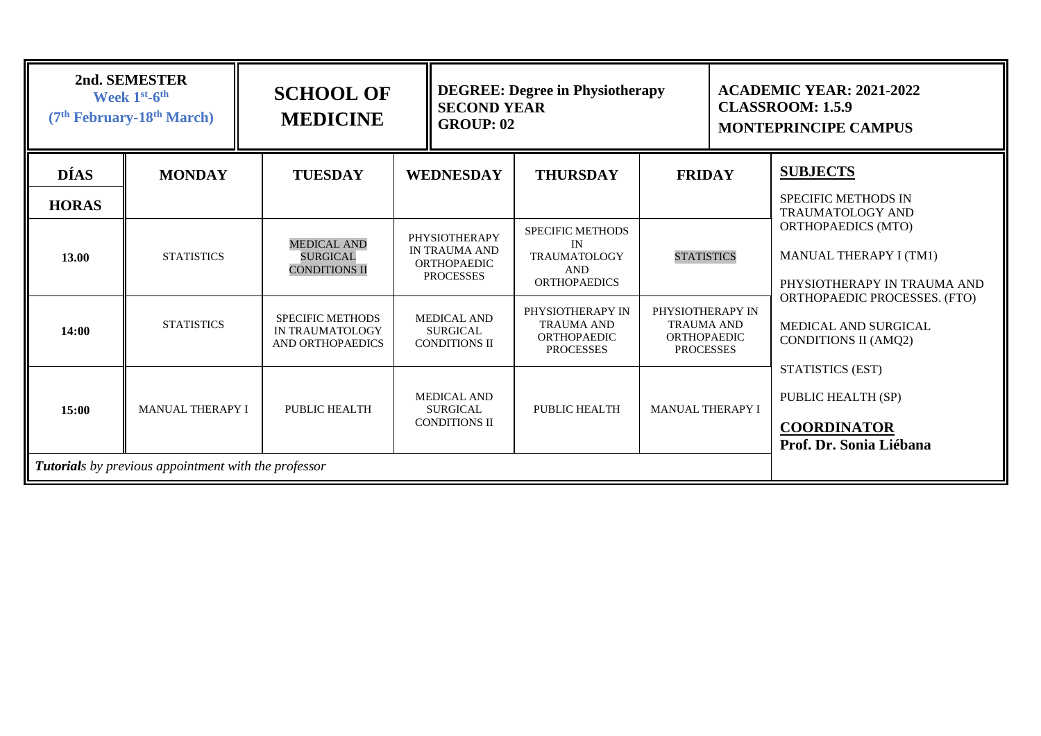| 2nd. SEMESTER<br>Week 1st-6th<br>(7 <sup>th</sup> February-18 <sup>th</sup> March) |                                                             | <b>SCHOOL OF</b><br><b>MEDICINE</b>                            | <b>DEGREE: Degree in Physiotherapy</b><br><b>SECOND YEAR</b><br><b>GROUP: 02</b>       |                                                                                           |                                                                                 | <b>ACADEMIC YEAR: 2021-2022</b><br><b>CLASSROOM: 1.5.9</b><br><b>MONTEPRINCIPE CAMPUS</b> |  |
|------------------------------------------------------------------------------------|-------------------------------------------------------------|----------------------------------------------------------------|----------------------------------------------------------------------------------------|-------------------------------------------------------------------------------------------|---------------------------------------------------------------------------------|-------------------------------------------------------------------------------------------|--|
| <b>DÍAS</b><br><b>HORAS</b>                                                        | <b>MONDAY</b>                                               | <b>TUESDAY</b>                                                 | <b>WEDNESDAY</b>                                                                       | <b>THURSDAY</b>                                                                           | <b>FRIDAY</b>                                                                   | <b>SUBJECTS</b><br><b>SPECIFIC METHODS IN</b><br><b>TRAUMATOLOGY AND</b>                  |  |
| 13.00                                                                              | <b>STATISTICS</b>                                           | <b>MEDICAL AND</b><br><b>SURGICAL</b><br><b>CONDITIONS II</b>  | <b>PHYSIOTHERAPY</b><br><b>IN TRAUMA AND</b><br><b>ORTHOPAEDIC</b><br><b>PROCESSES</b> | <b>SPECIFIC METHODS</b><br>IN<br><b>TRAUMATOLOGY</b><br><b>AND</b><br><b>ORTHOPAEDICS</b> | <b>STATISTICS</b>                                                               | <b>ORTHOPAEDICS (MTO)</b><br><b>MANUAL THERAPY I (TM1)</b><br>PHYSIOTHERAPY IN TRAUMA AND |  |
| 14:00                                                                              | <b>STATISTICS</b>                                           | <b>SPECIFIC METHODS</b><br>IN TRAUMATOLOGY<br>AND ORTHOPAEDICS | <b>MEDICAL AND</b><br><b>SURGICAL</b><br><b>CONDITIONS II</b>                          | PHYSIOTHERAPY IN<br><b>TRAUMA AND</b><br><b>ORTHOPAEDIC</b><br><b>PROCESSES</b>           | PHYSIOTHERAPY IN<br><b>TRAUMA AND</b><br><b>ORTHOPAEDIC</b><br><b>PROCESSES</b> | ORTHOPAEDIC PROCESSES. (FTO)<br>MEDICAL AND SURGICAL<br><b>CONDITIONS II (AMQ2)</b>       |  |
| 15:00                                                                              | <b>MANUAL THERAPY I</b>                                     | PUBLIC HEALTH                                                  | <b>MEDICAL AND</b><br><b>SURGICAL</b><br><b>CONDITIONS II</b>                          | PUBLIC HEALTH                                                                             | MANUAL THERAPY I                                                                | STATISTICS (EST)<br>PUBLIC HEALTH (SP)<br><b>COORDINATOR</b><br>Prof. Dr. Sonia Liébana   |  |
|                                                                                    | <b>Tutorials</b> by previous appointment with the professor |                                                                |                                                                                        |                                                                                           |                                                                                 |                                                                                           |  |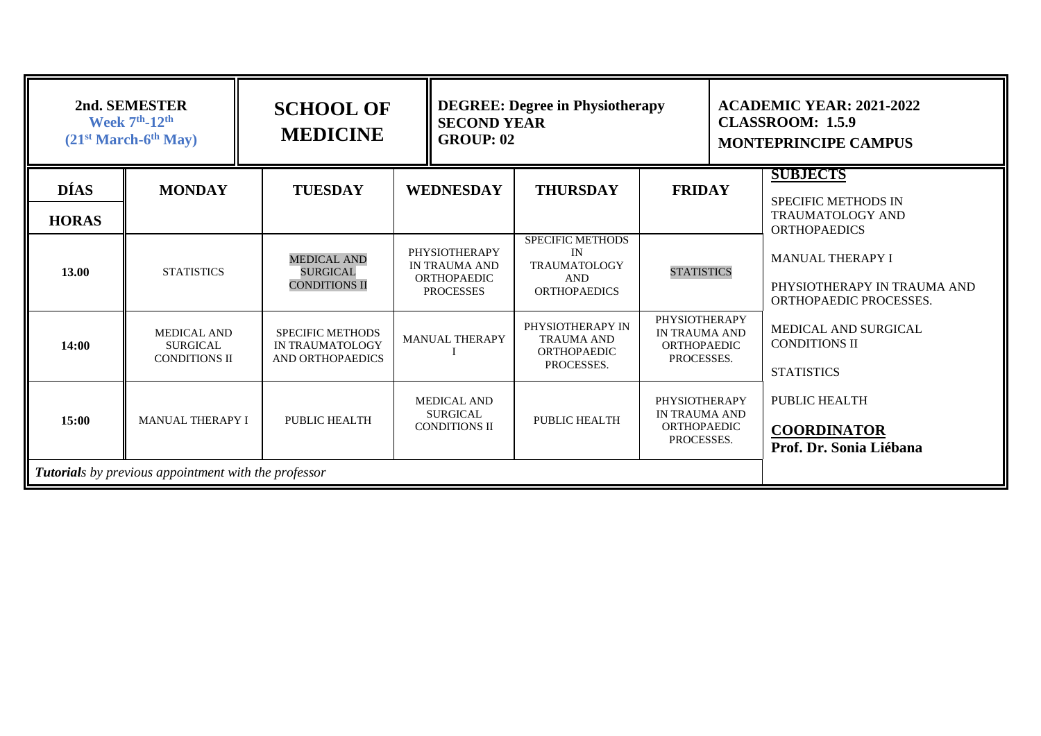| 2nd. SEMESTER<br><b>Week 7th-12th</b><br>$(21st March-6th May)$ |                                                               | <b>SCHOOL OF</b><br><b>MEDICINE</b>                            |                                                                                 | <b>DEGREE: Degree in Physiotherapy</b><br><b>SECOND YEAR</b><br><b>GROUP: 02</b>          |                                                                           |  | <b>ACADEMIC YEAR: 2021-2022</b><br><b>CLASSROOM: 1.5.9</b><br><b>MONTEPRINCIPE CAMPUS</b>       |
|-----------------------------------------------------------------|---------------------------------------------------------------|----------------------------------------------------------------|---------------------------------------------------------------------------------|-------------------------------------------------------------------------------------------|---------------------------------------------------------------------------|--|-------------------------------------------------------------------------------------------------|
| <b>DÍAS</b><br><b>HORAS</b>                                     | <b>MONDAY</b>                                                 | <b>TUESDAY</b>                                                 | <b>WEDNESDAY</b>                                                                | <b>THURSDAY</b>                                                                           | <b>FRIDAY</b>                                                             |  | <b>SUBJECTS</b><br><b>SPECIFIC METHODS IN</b><br><b>TRAUMATOLOGY AND</b><br><b>ORTHOPAEDICS</b> |
| 13.00                                                           | <b>STATISTICS</b>                                             | <b>MEDICAL AND</b><br><b>SURGICAL</b><br><b>CONDITIONS II</b>  | PHYSIOTHERAPY<br><b>IN TRAUMA AND</b><br><b>ORTHOPAEDIC</b><br><b>PROCESSES</b> | <b>SPECIFIC METHODS</b><br>IN<br><b>TRAUMATOLOGY</b><br><b>AND</b><br><b>ORTHOPAEDICS</b> | <b>STATISTICS</b>                                                         |  | <b>MANUAL THERAPY I</b><br>PHYSIOTHERAPY IN TRAUMA AND<br>ORTHOPAEDIC PROCESSES.                |
| 14:00                                                           | <b>MEDICAL AND</b><br><b>SURGICAL</b><br><b>CONDITIONS II</b> | <b>SPECIFIC METHODS</b><br>IN TRAUMATOLOGY<br>AND ORTHOPAEDICS | <b>MANUAL THERAPY</b>                                                           | PHYSIOTHERAPY IN<br><b>TRAUMA AND</b><br><b>ORTHOPAEDIC</b><br>PROCESSES.                 | PHYSIOTHERAPY<br><b>IN TRAUMA AND</b><br><b>ORTHOPAEDIC</b><br>PROCESSES. |  | MEDICAL AND SURGICAL<br><b>CONDITIONS II</b><br><b>STATISTICS</b>                               |
| 15:00                                                           | <b>MANUAL THERAPY I</b>                                       | PUBLIC HEALTH                                                  | <b>MEDICAL AND</b><br><b>SURGICAL</b><br><b>CONDITIONS II</b>                   | PUBLIC HEALTH                                                                             | PHYSIOTHERAPY<br><b>IN TRAUMA AND</b><br><b>ORTHOPAEDIC</b><br>PROCESSES. |  | <b>PUBLIC HEALTH</b><br><b>COORDINATOR</b><br>Prof. Dr. Sonia Liébana                           |
|                                                                 | <b>Tutorials</b> by previous appointment with the professor   |                                                                |                                                                                 |                                                                                           |                                                                           |  |                                                                                                 |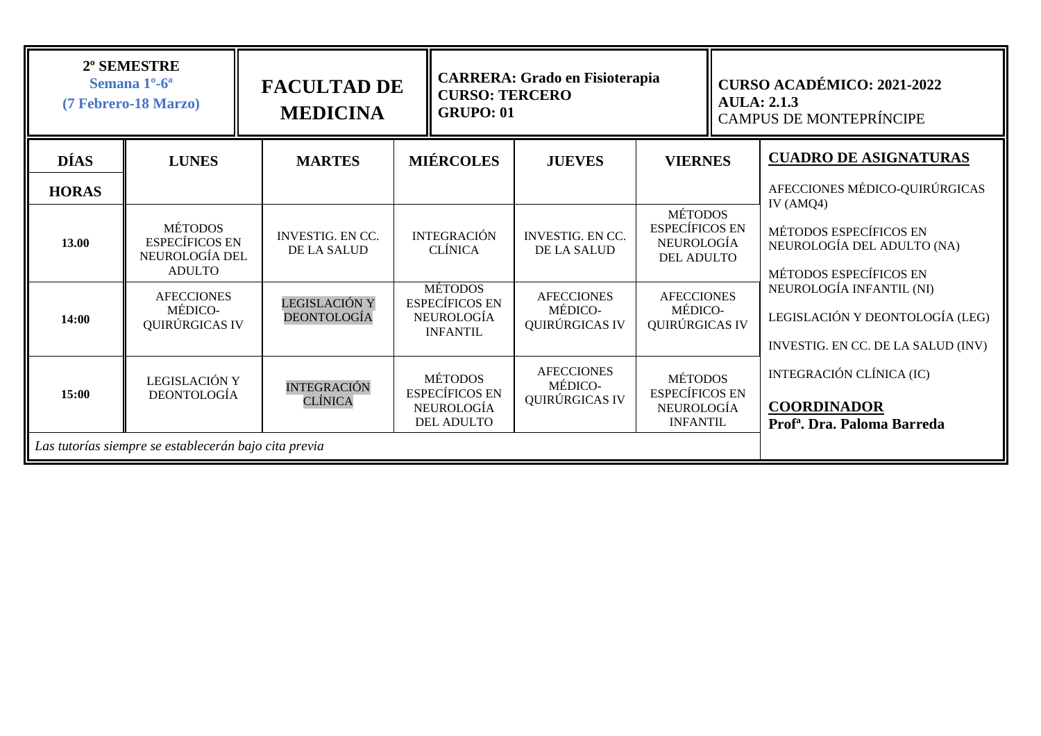| 2º SEMESTRE<br>Semana 1 <sup>o</sup> -6 <sup>a</sup><br>(7 Febrero-18 Marzo) |                                                                            | <b>FACULTAD DE</b><br><b>MEDICINA</b>  | <b>CURSO: TERCERO</b><br><b>GRUPO: 01</b>                                         |                                                                                 | <b>CARRERA: Grado en Fisioterapia</b>          |                                                                                   | <b>CURSO ACADÉMICO: 2021-2022</b><br><b>AULA: 2.1.3</b><br><b>CAMPUS DE MONTEPRÍNCIPE</b>         |  |
|------------------------------------------------------------------------------|----------------------------------------------------------------------------|----------------------------------------|-----------------------------------------------------------------------------------|---------------------------------------------------------------------------------|------------------------------------------------|-----------------------------------------------------------------------------------|---------------------------------------------------------------------------------------------------|--|
| <b>DÍAS</b><br><b>HORAS</b>                                                  | <b>LUNES</b>                                                               | <b>MARTES</b>                          |                                                                                   | <b>MIÉRCOLES</b>                                                                | <b>JUEVES</b>                                  | <b>VIERNES</b>                                                                    | <b>CUADRO DE ASIGNATURAS</b><br>AFECCIONES MÉDICO-QUIRÚRGICAS                                     |  |
| 13.00                                                                        | <b>MÉTODOS</b><br><b>ESPECÍFICOS EN</b><br>NEUROLOGÍA DEL<br><b>ADULTO</b> | <b>INVESTIG. EN CC.</b><br>DE LA SALUD |                                                                                   | <b>INTEGRACIÓN</b><br><b>CLÍNICA</b>                                            | <b>INVESTIG. EN CC.</b><br><b>DE LA SALUD</b>  | <b>MÉTODOS</b><br><b>ESPECÍFICOS EN</b><br><b>NEUROLOGÍA</b><br><b>DEL ADULTO</b> | IV $(AMQ4)$<br>MÉTODOS ESPECÍFICOS EN<br>NEUROLOGÍA DEL ADULTO (NA)<br>MÉTODOS ESPECÍFICOS EN     |  |
| 14:00                                                                        | <b>AFECCIONES</b><br>MÉDICO-<br>QUIRÚRGICAS IV                             | LEGISLACIÓN Y<br>DEONTOLOGÍA           |                                                                                   | <b>MÉTODOS</b><br><b>ESPECÍFICOS EN</b><br><b>NEUROLOGÍA</b><br><b>INFANTIL</b> | <b>AFECCIONES</b><br>MÉDICO-<br>QUIRÚRGICAS IV | <b>AFECCIONES</b><br>MÉDICO-<br>QUIRÚRGICAS IV                                    | NEUROLOGÍA INFANTIL (NI)<br>LEGISLACIÓN Y DEONTOLOGÍA (LEG)<br>INVESTIG. EN CC. DE LA SALUD (INV) |  |
| 15:00                                                                        | LEGISLACIÓN Y<br><b>DEONTOLOGÍA</b>                                        | <b>INTEGRACIÓN</b><br>CLÍNICA          | <b>MÉTODOS</b><br><b>ESPECÍFICOS EN</b><br><b>NEUROLOGÍA</b><br><b>DEL ADULTO</b> |                                                                                 | <b>AFECCIONES</b><br>MÉDICO-<br>QUIRÚRGICAS IV | <b>MÉTODOS</b><br><b>ESPECÍFICOS EN</b><br><b>NEUROLOGÍA</b><br><b>INFANTIL</b>   | INTEGRACIÓN CLÍNICA (IC)<br><b>COORDINADOR</b><br>Prof <sup>a</sup> . Dra. Paloma Barreda         |  |
|                                                                              | Las tutorías siempre se establecerán bajo cita previa                      |                                        |                                                                                   |                                                                                 |                                                |                                                                                   |                                                                                                   |  |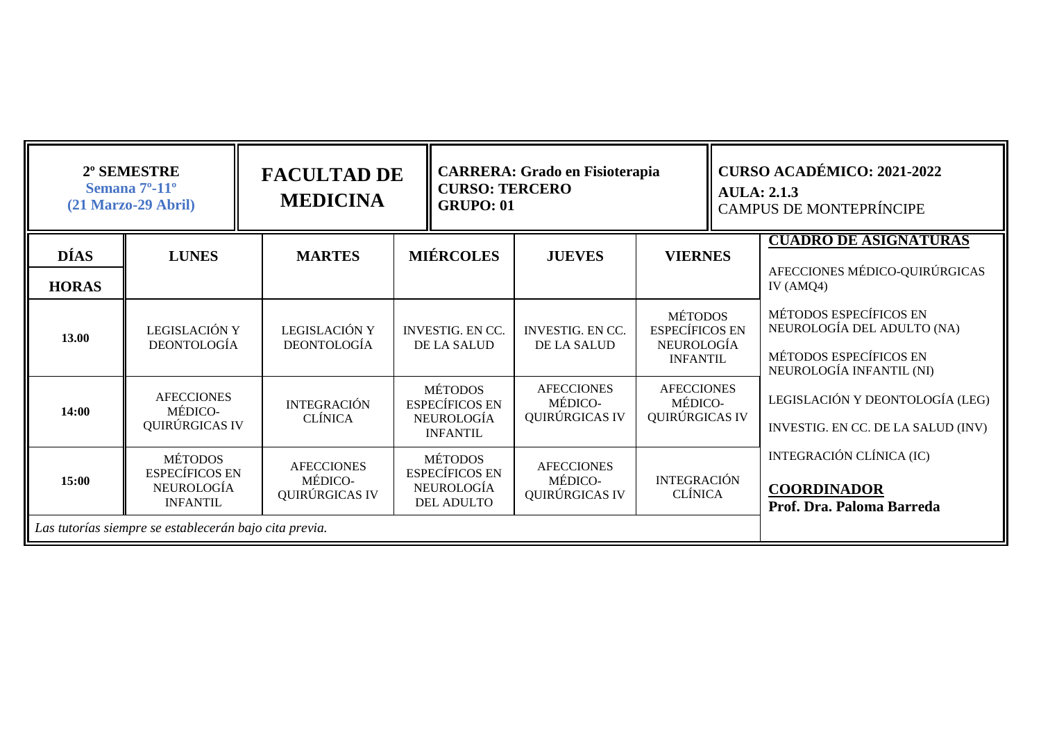| 2º SEMESTRE<br>Semana 7 <sup>o</sup> -11 <sup>o</sup><br>$(21$ Marzo-29 Abril) |                                                                          | <b>FACULTAD DE</b><br><b>MEDICINA</b>          | <b>CURSO: TERCERO</b><br><b>GRUPO: 01</b>                                       | <b>CARRERA: Grado en Fisioterapia</b>          |                                                                          | <b>CURSO ACADÉMICO: 2021-2022</b><br><b>AULA</b> : 2.1.3<br><b>CAMPUS DE MONTEPRÍNCIPE</b> |                                                                                                            |
|--------------------------------------------------------------------------------|--------------------------------------------------------------------------|------------------------------------------------|---------------------------------------------------------------------------------|------------------------------------------------|--------------------------------------------------------------------------|--------------------------------------------------------------------------------------------|------------------------------------------------------------------------------------------------------------|
| <b>DÍAS</b><br><b>HORAS</b>                                                    | <b>LUNES</b>                                                             | <b>MARTES</b>                                  | <b>MIÉRCOLES</b>                                                                | <b>JUEVES</b>                                  | <b>VIERNES</b>                                                           |                                                                                            | <b>CUADRO DE ASIGNATURAS</b><br>AFECCIONES MÉDICO-QUIRÚRGICAS<br>IV $(AMQ4)$                               |
| 13.00                                                                          | LEGISLACIÓN Y<br><b>DEONTOLOGÍA</b>                                      | LEGISLACIÓN Y<br><b>DEONTOLOGÍA</b>            | <b>INVESTIG. EN CC.</b><br>DE LA SALUD                                          | <b>INVESTIG. EN CC.</b><br>DE LA SALUD         | <b>MÉTODOS</b><br><b>ESPECÍFICOS EN</b><br>NEUROLOGÍA<br><b>INFANTIL</b> |                                                                                            | MÉTODOS ESPECÍFICOS EN<br>NEUROLOGÍA DEL ADULTO (NA)<br>MÉTODOS ESPECÍFICOS EN<br>NEUROLOGÍA INFANTIL (NI) |
| 14:00                                                                          | <b>AFECCIONES</b><br>MÉDICO-<br>QUIRÚRGICAS IV                           | <b>INTEGRACIÓN</b><br><b>CLÍNICA</b>           | <b>MÉTODOS</b><br><b>ESPECÍFICOS EN</b><br><b>NEUROLOGÍA</b><br><b>INFANTIL</b> | <b>AFECCIONES</b><br>MÉDICO-<br>QUIRÚRGICAS IV | <b>AFECCIONES</b><br>MÉDICO-<br>QUIRÚRGICAS IV                           |                                                                                            | LEGISLACIÓN Y DEONTOLOGÍA (LEG)<br>INVESTIG. EN CC. DE LA SALUD (INV)                                      |
| 15:00                                                                          | <b>MÉTODOS</b><br><b>ESPECÍFICOS EN</b><br>NEUROLOGÍA<br><b>INFANTIL</b> | <b>AFECCIONES</b><br>MÉDICO-<br>QUIRÚRGICAS IV | <b>MÉTODOS</b><br><b>ESPECÍFICOS EN</b><br>NEUROLOGÍA<br>DEL ADULTO             | <b>AFECCIONES</b><br>MÉDICO-<br>QUIRÚRGICAS IV | <b>INTEGRACIÓN</b><br><b>CLÍNICA</b>                                     |                                                                                            | INTEGRACIÓN CLÍNICA (IC)<br><b>COORDINADOR</b><br>Prof. Dra. Paloma Barreda                                |
|                                                                                | Las tutorías siempre se establecerán bajo cita previa.                   |                                                |                                                                                 |                                                |                                                                          |                                                                                            |                                                                                                            |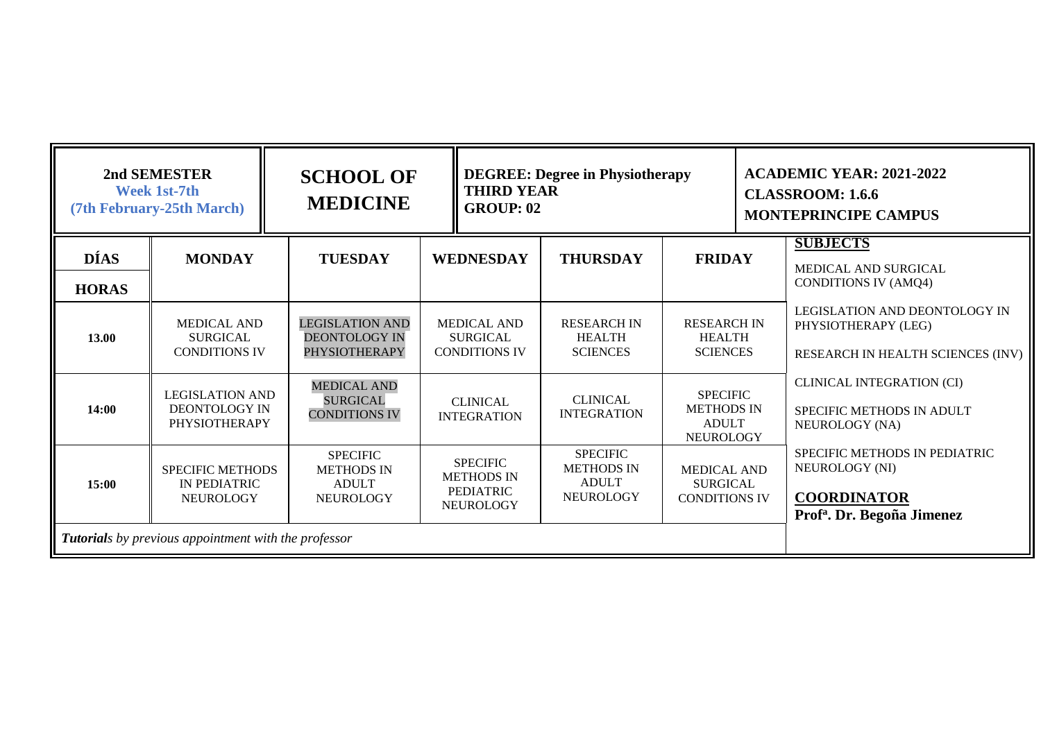| 2nd SEMESTER<br>Week 1st-7th<br>(7th February-25th March) |                                                                        | <b>SCHOOL OF</b><br><b>MEDICINE</b>                                      | <b>THIRD YEAR</b><br><b>GROUP: 02</b>                                        | <b>DEGREE: Degree in Physiotherapy</b>                                   |                                                                          | <b>ACADEMIC YEAR: 2021-2022</b><br><b>CLASSROOM: 1.6.6</b><br><b>MONTEPRINCIPE CAMPUS</b>                       |
|-----------------------------------------------------------|------------------------------------------------------------------------|--------------------------------------------------------------------------|------------------------------------------------------------------------------|--------------------------------------------------------------------------|--------------------------------------------------------------------------|-----------------------------------------------------------------------------------------------------------------|
| <b>DÍAS</b><br><b>HORAS</b>                               | <b>MONDAY</b>                                                          | <b>TUESDAY</b>                                                           | <b>WEDNESDAY</b>                                                             | <b>THURSDAY</b>                                                          | <b>FRIDAY</b>                                                            | <b>SUBJECTS</b><br>MEDICAL AND SURGICAL<br><b>CONDITIONS IV (AMQ4)</b>                                          |
| 13.00                                                     | <b>MEDICAL AND</b><br><b>SURGICAL</b><br><b>CONDITIONS IV</b>          | <b>LEGISLATION AND</b><br><b>DEONTOLOGY IN</b><br><b>PHYSIOTHERAPY</b>   | <b>MEDICAL AND</b><br><b>SURGICAL</b><br><b>CONDITIONS IV</b>                | <b>RESEARCH IN</b><br><b>HEALTH</b><br><b>SCIENCES</b>                   | <b>RESEARCH IN</b><br><b>HEALTH</b><br><b>SCIENCES</b>                   | LEGISLATION AND DEONTOLOGY IN<br>PHYSIOTHERAPY (LEG)<br>RESEARCH IN HEALTH SCIENCES (INV)                       |
| 14:00                                                     | <b>LEGISLATION AND</b><br><b>DEONTOLOGY IN</b><br><b>PHYSIOTHERAPY</b> | <b>MEDICAL AND</b><br><b>SURGICAL</b><br><b>CONDITIONS IV</b>            | <b>CLINICAL</b><br><b>INTEGRATION</b>                                        | <b>CLINICAL</b><br><b>INTEGRATION</b>                                    | <b>SPECIFIC</b><br><b>METHODS IN</b><br><b>ADULT</b><br><b>NEUROLOGY</b> | <b>CLINICAL INTEGRATION (CI)</b><br>SPECIFIC METHODS IN ADULT<br>NEUROLOGY (NA)                                 |
| 15:00                                                     | <b>SPECIFIC METHODS</b><br>IN PEDIATRIC<br><b>NEUROLOGY</b>            | <b>SPECIFIC</b><br><b>METHODS IN</b><br><b>ADULT</b><br><b>NEUROLOGY</b> | <b>SPECIFIC</b><br><b>METHODS IN</b><br><b>PEDIATRIC</b><br><b>NEUROLOGY</b> | <b>SPECIFIC</b><br><b>METHODS IN</b><br><b>ADULT</b><br><b>NEUROLOGY</b> | <b>MEDICAL AND</b><br><b>SURGICAL</b><br><b>CONDITIONS IV</b>            | SPECIFIC METHODS IN PEDIATRIC<br>NEUROLOGY (NI)<br><b>COORDINATOR</b><br>Prof <sup>a</sup> . Dr. Begoña Jimenez |
|                                                           | Tutorials by previous appointment with the professor                   |                                                                          |                                                                              |                                                                          |                                                                          |                                                                                                                 |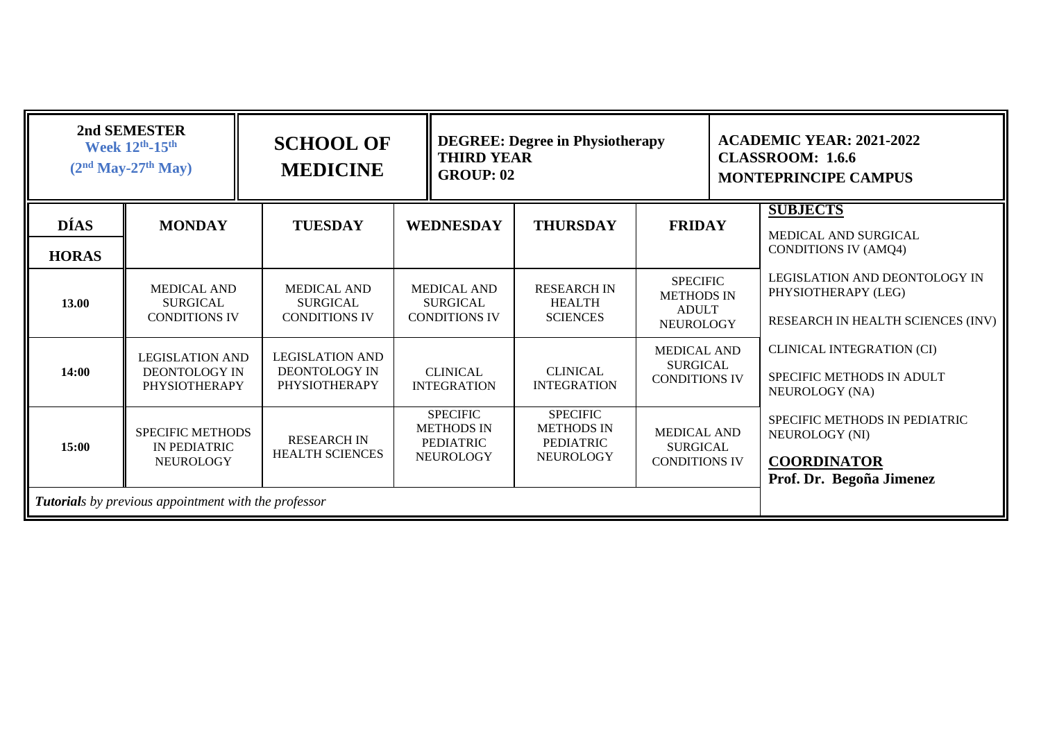| 2nd SEMESTER<br>Week 12th-15th<br>$(2nd May-27th May)$ |                                                                 | <b>SCHOOL OF</b><br><b>MEDICINE</b>                             |                                                                              | <b>DEGREE: Degree in Physiotherapy</b><br><b>THIRD YEAR</b><br><b>GROUP: 02</b> |                                                                          |  | <b>ACADEMIC YEAR: 2021-2022</b><br><b>CLASSROOM: 1.6.6</b><br><b>MONTEPRINCIPE CAMPUS</b>         |
|--------------------------------------------------------|-----------------------------------------------------------------|-----------------------------------------------------------------|------------------------------------------------------------------------------|---------------------------------------------------------------------------------|--------------------------------------------------------------------------|--|---------------------------------------------------------------------------------------------------|
| <b>DÍAS</b><br><b>HORAS</b>                            | <b>MONDAY</b>                                                   | <b>TUESDAY</b>                                                  | <b>WEDNESDAY</b>                                                             | <b>THURSDAY</b>                                                                 | <b>FRIDAY</b>                                                            |  | <b>SUBJECTS</b><br>MEDICAL AND SURGICAL<br><b>CONDITIONS IV (AMQ4)</b>                            |
| 13.00                                                  | <b>MEDICAL AND</b><br><b>SURGICAL</b><br><b>CONDITIONS IV</b>   | <b>MEDICAL AND</b><br><b>SURGICAL</b><br><b>CONDITIONS IV</b>   | <b>MEDICAL AND</b><br><b>SURGICAL</b><br><b>CONDITIONS IV</b>                | <b>RESEARCH IN</b><br><b>HEALTH</b><br><b>SCIENCES</b>                          | <b>SPECIFIC</b><br><b>METHODS IN</b><br><b>ADULT</b><br><b>NEUROLOGY</b> |  | <b>LEGISLATION AND DEONTOLOGY IN</b><br>PHYSIOTHERAPY (LEG)<br>RESEARCH IN HEALTH SCIENCES (INV)  |
| 14:00                                                  | <b>LEGISLATION AND</b><br><b>DEONTOLOGY IN</b><br>PHYSIOTHERAPY | <b>LEGISLATION AND</b><br>DEONTOLOGY IN<br><b>PHYSIOTHERAPY</b> | <b>CLINICAL</b><br><b>INTEGRATION</b>                                        | <b>CLINICAL</b><br><b>INTEGRATION</b>                                           | <b>MEDICAL AND</b><br><b>SURGICAL</b><br><b>CONDITIONS IV</b>            |  | <b>CLINICAL INTEGRATION (CI)</b><br>SPECIFIC METHODS IN ADULT<br>NEUROLOGY (NA)                   |
| 15:00                                                  | <b>SPECIFIC METHODS</b><br>IN PEDIATRIC<br><b>NEUROLOGY</b>     | <b>RESEARCH IN</b><br><b>HEALTH SCIENCES</b>                    | <b>SPECIFIC</b><br><b>METHODS IN</b><br><b>PEDIATRIC</b><br><b>NEUROLOGY</b> | <b>SPECIFIC</b><br><b>METHODS IN</b><br><b>PEDIATRIC</b><br><b>NEUROLOGY</b>    | <b>MEDICAL AND</b><br><b>SURGICAL</b><br><b>CONDITIONS IV</b>            |  | SPECIFIC METHODS IN PEDIATRIC<br>NEUROLOGY (NI)<br><b>COORDINATOR</b><br>Prof. Dr. Begoña Jimenez |
|                                                        | <b>Tutorials</b> by previous appointment with the professor     |                                                                 |                                                                              |                                                                                 |                                                                          |  |                                                                                                   |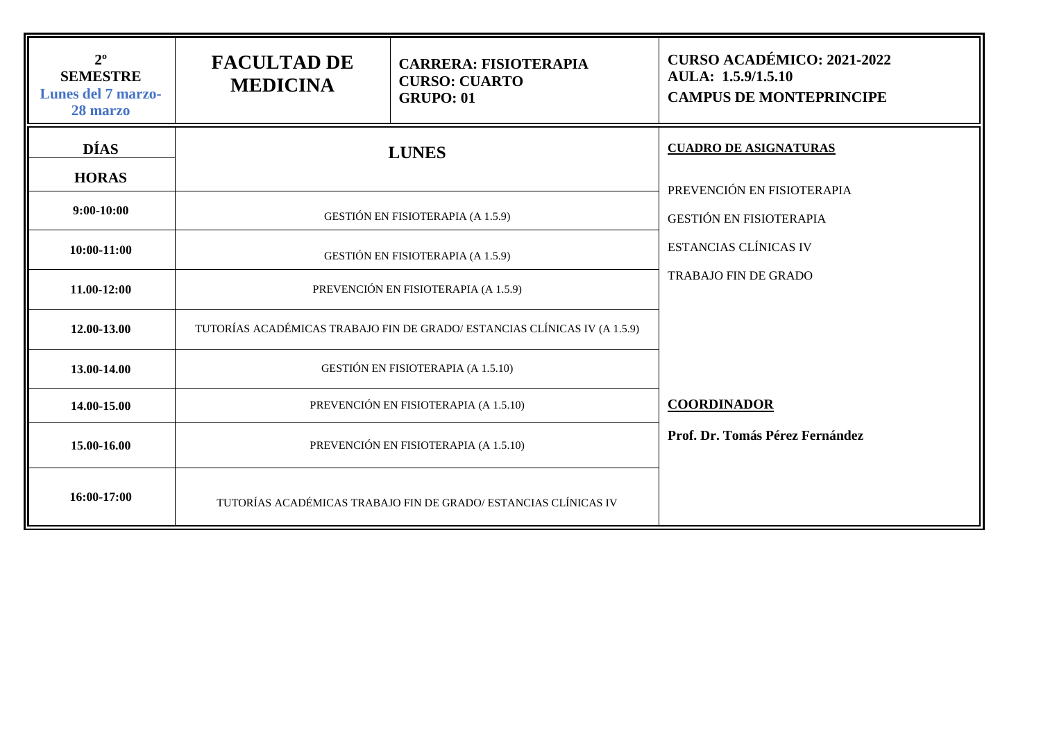| $2^{\circ}$<br><b>SEMESTRE</b><br><b>Lunes del 7 marzo-</b><br>28 marzo | <b>FACULTAD DE</b><br><b>MEDICINA</b> | <b>CARRERA: FISIOTERAPIA</b><br><b>CURSO: CUARTO</b><br><b>GRUPO: 01</b>  | <b>CURSO ACADÉMICO: 2021-2022</b><br>AULA: 1.5.9/1.5.10<br><b>CAMPUS DE MONTEPRINCIPE</b> |  |  |
|-------------------------------------------------------------------------|---------------------------------------|---------------------------------------------------------------------------|-------------------------------------------------------------------------------------------|--|--|
| <b>DÍAS</b><br><b>HORAS</b>                                             |                                       | <b>LUNES</b>                                                              | <b>CUADRO DE ASIGNATURAS</b><br>PREVENCIÓN EN FISIOTERAPIA                                |  |  |
| $9:00-10:00$                                                            |                                       | <b>GESTIÓN EN FISIOTERAPIA (A 1.5.9)</b>                                  | <b>GESTIÓN EN FISIOTERAPIA</b>                                                            |  |  |
| 10:00-11:00                                                             |                                       | GESTIÓN EN FISIOTERAPIA (A 1.5.9)                                         | <b>ESTANCIAS CLÍNICAS IV</b>                                                              |  |  |
| 11.00-12:00                                                             |                                       | PREVENCIÓN EN FISIOTERAPIA (A 1.5.9)                                      | <b>TRABAJO FIN DE GRADO</b>                                                               |  |  |
| 12.00-13.00                                                             |                                       | TUTORÍAS ACADÉMICAS TRABAJO FIN DE GRADO/ ESTANCIAS CLÍNICAS IV (A 1.5.9) |                                                                                           |  |  |
| 13.00-14.00                                                             |                                       | <b>GESTIÓN EN FISIOTERAPIA (A 1.5.10)</b>                                 |                                                                                           |  |  |
| 14.00-15.00                                                             |                                       | PREVENCIÓN EN FISIOTERAPIA (A 1.5.10)                                     | <b>COORDINADOR</b>                                                                        |  |  |
| 15.00-16.00                                                             |                                       | PREVENCIÓN EN FISIOTERAPIA (A 1.5.10)                                     | Prof. Dr. Tomás Pérez Fernández                                                           |  |  |
| 16:00-17:00                                                             |                                       | TUTORÍAS ACADÉMICAS TRABAJO FIN DE GRADO/ ESTANCIAS CLÍNICAS IV           |                                                                                           |  |  |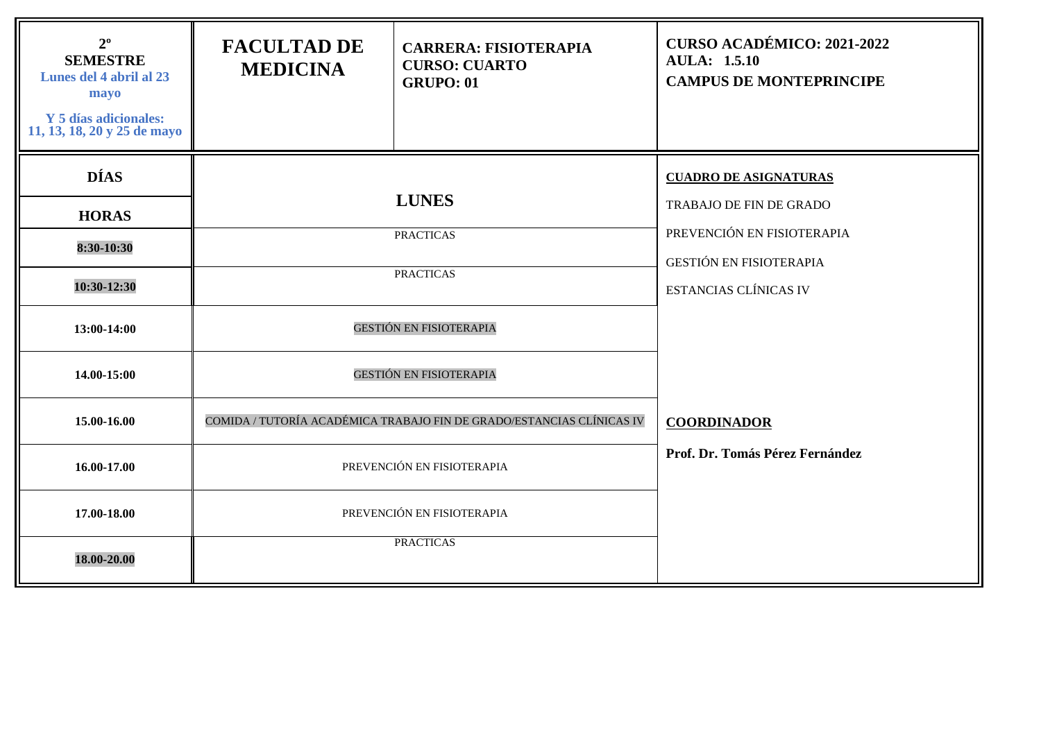| $2^{\circ}$<br><b>SEMESTRE</b><br>Lunes del 4 abril al 23<br>mayo<br><b>Y</b> 5 días adicionales:<br>11, 13, 18, 20 y 25 de mayo | <b>FACULTAD DE</b><br><b>MEDICINA</b> | <b>CARRERA: FISIOTERAPIA</b><br><b>CURSO: CUARTO</b><br><b>GRUPO: 01</b> | <b>CURSO ACADÉMICO: 2021-2022</b><br><b>AULA: 1.5.10</b><br><b>CAMPUS DE MONTEPRINCIPE</b> |  |  |
|----------------------------------------------------------------------------------------------------------------------------------|---------------------------------------|--------------------------------------------------------------------------|--------------------------------------------------------------------------------------------|--|--|
| <b>DÍAS</b>                                                                                                                      |                                       |                                                                          | <b>CUADRO DE ASIGNATURAS</b>                                                               |  |  |
| <b>HORAS</b>                                                                                                                     |                                       | <b>LUNES</b>                                                             | <b>TRABAJO DE FIN DE GRADO</b>                                                             |  |  |
| 8:30-10:30                                                                                                                       |                                       | <b>PRACTICAS</b>                                                         | PREVENCIÓN EN FISIOTERAPIA<br><b>GESTIÓN EN FISIOTERAPIA</b>                               |  |  |
| 10:30-12:30                                                                                                                      |                                       | <b>PRACTICAS</b>                                                         | <b>ESTANCIAS CLÍNICAS IV</b>                                                               |  |  |
| 13:00-14:00                                                                                                                      |                                       | <b>GESTIÓN EN FISIOTERAPIA</b>                                           |                                                                                            |  |  |
| 14.00-15:00                                                                                                                      |                                       | <b>GESTIÓN EN FISIOTERAPIA</b>                                           |                                                                                            |  |  |
| 15.00-16.00                                                                                                                      |                                       | COMIDA / TUTORÍA ACADÉMICA TRABAJO FIN DE GRADO/ESTANCIAS CLÍNICAS IV    | <b>COORDINADOR</b>                                                                         |  |  |
| 16.00-17.00                                                                                                                      |                                       | PREVENCIÓN EN FISIOTERAPIA                                               | Prof. Dr. Tomás Pérez Fernández                                                            |  |  |
| 17.00-18.00                                                                                                                      |                                       | PREVENCIÓN EN FISIOTERAPIA                                               |                                                                                            |  |  |
| 18.00-20.00                                                                                                                      |                                       | <b>PRACTICAS</b>                                                         |                                                                                            |  |  |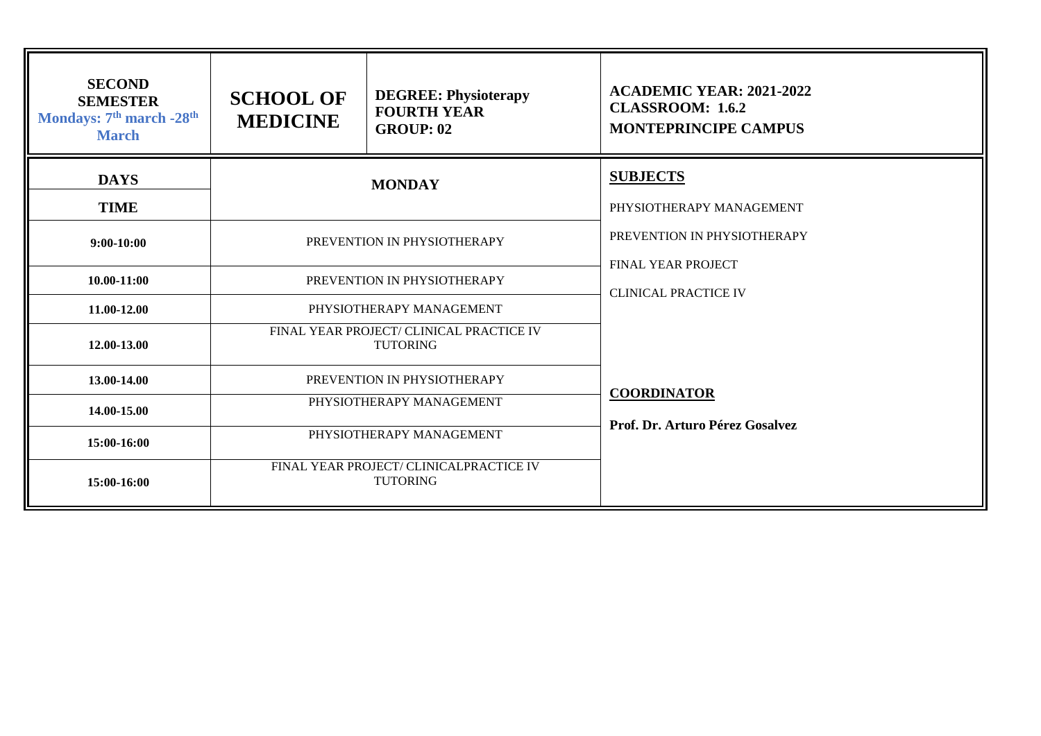| <b>SECOND</b><br><b>SEMESTER</b><br>Mondays: 7 <sup>th</sup> march -28 <sup>th</sup><br><b>March</b> | <b>SCHOOL OF</b><br><b>MEDICINE</b>                         | <b>DEGREE: Physioterapy</b><br><b>FOURTH YEAR</b><br><b>GROUP: 02</b> | <b>ACADEMIC YEAR: 2021-2022</b><br><b>CLASSROOM: 1.6.2</b><br><b>MONTEPRINCIPE CAMPUS</b> |
|------------------------------------------------------------------------------------------------------|-------------------------------------------------------------|-----------------------------------------------------------------------|-------------------------------------------------------------------------------------------|
| <b>DAYS</b><br><b>TIME</b>                                                                           | <b>MONDAY</b>                                               |                                                                       | <b>SUBJECTS</b><br>PHYSIOTHERAPY MANAGEMENT                                               |
| $9:00-10:00$                                                                                         | PREVENTION IN PHYSIOTHERAPY                                 |                                                                       | PREVENTION IN PHYSIOTHERAPY<br><b>FINAL YEAR PROJECT</b>                                  |
| $10.00 - 11:00$                                                                                      | PREVENTION IN PHYSIOTHERAPY                                 |                                                                       | <b>CLINICAL PRACTICE IV</b>                                                               |
| 11.00-12.00                                                                                          | PHYSIOTHERAPY MANAGEMENT                                    |                                                                       |                                                                                           |
| 12.00-13.00                                                                                          | FINAL YEAR PROJECT/ CLINICAL PRACTICE IV<br><b>TUTORING</b> |                                                                       |                                                                                           |
| 13.00-14.00                                                                                          | PREVENTION IN PHYSIOTHERAPY                                 |                                                                       |                                                                                           |
| 14.00-15.00                                                                                          | PHYSIOTHERAPY MANAGEMENT                                    |                                                                       | <b>COORDINATOR</b><br>Prof. Dr. Arturo Pérez Gosalvez                                     |
| 15:00-16:00                                                                                          | PHYSIOTHERAPY MANAGEMENT                                    |                                                                       |                                                                                           |
| 15:00-16:00                                                                                          | FINAL YEAR PROJECT/ CLINICALPRACTICE IV<br><b>TUTORING</b>  |                                                                       |                                                                                           |